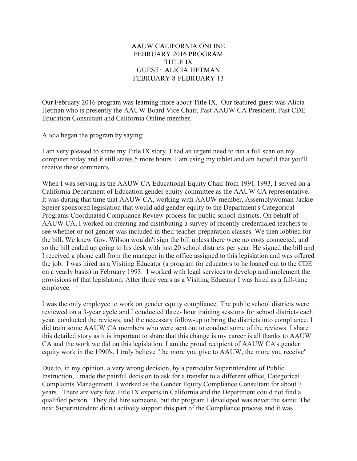## AAUW CALIFORNIA ONLINE FEBRUARY 2016 PROGRAM TITLE IX GUEST: ALICIA HETMAN FEBRUARY 8-FEBRUARY 13

Our February 2016 program was learning more about Title IX. Our featured guest was Alicia Hetman who is presently the AAUW Board Vice Chair, Past AAUW CA President, Past CDE Education Consultant and California Online member.

Alicia began the program by saying:

I am very pleased to share my Title IX story. I had an urgent need to run a full scan on my computer today and it still states 5 more hours. I am using my tablet and am hopeful that you'll receive these comments

When I was serving as the AAUW CA Educational Equity Chair from 1991-1993, I served on a California Department of Education gender equity committee as the AAUW CA representative. It was during that time that AAUW CA, working with AAUW member, Assemblywoman Jackie Speier sponsored legislation that would add gender equity to the Department's Categorical Programs Coordinated Compliance Review process for public school districts. On behalf of AAUW CA, I worked on creating and distributing a survey of recently credentialed teachers to see whether or not gender was included in their teacher preparation classes. We then lobbied for the bill. We knew Gov. Wilson wouldn't sign the bill unless there were no costs connected, and so the bill ended up going to his desk with just 20 school districts per year. He signed the bill and I received a phone call from the manager in the office assigned to this legislation and was offered the job. I was hired as a Visiting Educator (a program for educators to be loaned out to the CDE on a yearly basis) in February 1993. I worked with legal services to develop and implement the provisions of that legislation. After three years as a Visiting Educator I was hired as a full-time employee.

I was the only employee to work on gender equity compliance. The public school districts were reviewed on a 3-year cycle and I conducted three- hour training sessions for school districts each year, conducted the reviews, and the necessary follow-up to bring the districts into compliance. I did train some AAUW CA members who were sent out to conduct some of the reviews. I share this detailed story as it is important to share that this change is my career is all thanks to AAUW CA and the work we did on this legislation. I am the proud recipient of AAUW CA's gender equity work in the 1990's. I truly believe "the more you give to AAUW, the more you receive"

Due to, in my opinion, a very wrong decision, by a particular Superintendent of Public Instruction, I made the painful decision to ask for a transfer to a different office, Categorical Complaints Management. I worked as the Gender Equity Compliance Consultant for about 7 years. There are very few Title IX experts in California and the Department could not find a qualified person. They did hire someone, but the program I developed was never the same. The next Superintendent didn't actively support this part of the Compliance process and it was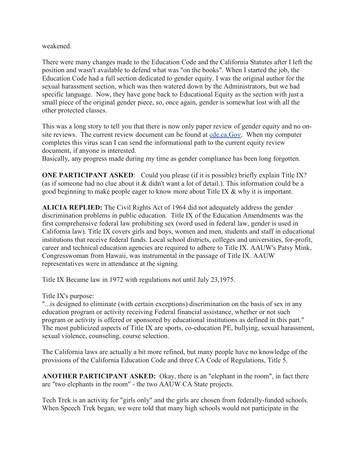weakened.

There were many changes made to the Education Code and the California Statutes after I left the position and wasn't available to defend what was "on the books". When I started the job, the Education Code had a full section dedicated to gender equity. I was the original author for the sexual harassment section, which was then watered down by the Administrators, but we had specific language. Now, they have gone back to Educational Equity as the section with just a small piece of the original gender piece, so, once again, gender is somewhat lost with all the other protected classes.

This was a long story to tell you that there is now only paper review of gender equity and no onsite reviews. The current review document can be found at cde.ca.Gov. When my computer completes this virus scan I can send the informational path to the current equity review document, if anyone is interested.

Basically, any progress made during my time as gender compliance has been long forgotten.

**ONE PARTICIPANT ASKED:** Could you please (if it is possible) briefly explain Title IX? (as if someone had no clue about it & didn't want a lot of detail.). This information could be a good beginning to make people eager to know more about Title IX & why it is important.

**ALICIA REPLIED:** The Civil Rights Act of 1964 did not adequately address the gender discrimination problems in public education. Title IX of the Education Amendments was the first comprehensive federal law prohibiting sex (word used in federal law, gender is used in California law). Title IX covers girls and boys, women and men, students and staff in educational institutions that receive federal funds. Local school districts, colleges and universities, for-profit, career and technical education agencies are required to adhere to Title IX. AAUW's Patsy Mink, Congresswoman from Hawaii, was instrumental in the passage of Title IX. AAUW representatives were in attendance at the signing.

Title IX Became law in 1972 with regulations not until July 23,1975.

Title IX's purpose:

"...is designed to eliminate (with certain exceptions) discrimination on the basis of sex in any education program or activity receiving Federal financial assistance, whether or not such program or activity is offered or sponsored by educational institutions as defined in this part." The most publicized aspects of Title IX are sports, co-education PE, bullying, sexual harassment, sexual violence, counseling, course selection.

The California laws are actually a bit more refined, but many people have no knowledge of the provisions of the California Education Code and three CA Code of Regulations, Title 5.

**ANOTHER PARTICIPANT ASKED:** Okay, there is an "elephant in the room", in fact there are "two elephants in the room" - the two AAUW CA State projects.

Tech Trek is an activity for "girls only" and the girls are chosen from federally-funded schools. When Speech Trek began, we were told that many high schools would not participate in the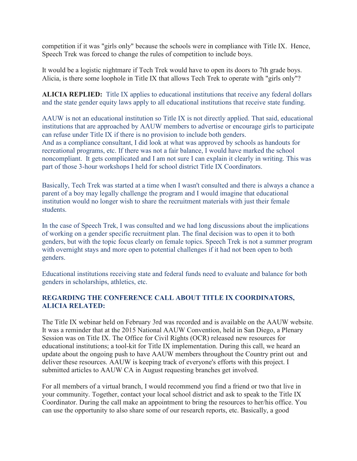competition if it was "girls only" because the schools were in compliance with Title IX. Hence, Speech Trek was forced to change the rules of competition to include boys.

It would be a logistic nightmare if Tech Trek would have to open its doors to 7th grade boys. Alicia, is there some loophole in Title IX that allows Tech Trek to operate with "girls only"?

**ALICIA REPLIED:** Title IX applies to educational institutions that receive any federal dollars and the state gender equity laws apply to all educational institutions that receive state funding.

AAUW is not an educational institution so Title IX is not directly applied. That said, educational institutions that are approached by AAUW members to advertise or encourage girls to participate can refuse under Title IX if there is no provision to include both genders. And as a compliance consultant, I did look at what was approved by schools as handouts for recreational programs, etc. If there was not a fair balance, I would have marked the school noncompliant. It gets complicated and I am not sure I can explain it clearly in writing. This was part of those 3-hour workshops I held for school district Title IX Coordinators.

Basically, Tech Trek was started at a time when I wasn't consulted and there is always a chance a parent of a boy may legally challenge the program and I would imagine that educational institution would no longer wish to share the recruitment materials with just their female students.

In the case of Speech Trek, I was consulted and we had long discussions about the implications of working on a gender specific recruitment plan. The final decision was to open it to both genders, but with the topic focus clearly on female topics. Speech Trek is not a summer program with overnight stays and more open to potential challenges if it had not been open to both genders.

Educational institutions receiving state and federal funds need to evaluate and balance for both genders in scholarships, athletics, etc.

## **REGARDING THE CONFERENCE CALL ABOUT TITLE IX COORDINATORS, ALICIA RELATED:**

The Title IX webinar held on February 3rd was recorded and is available on the AAUW website. It was a reminder that at the 2015 National AAUW Convention, held in San Diego, a Plenary Session was on Title IX. The Office for Civil Rights (OCR) released new resources for educational institutions; a tool-kit for Title IX implementation. During this call, we heard an update about the ongoing push to have AAUW members throughout the Country print out and deliver these resources. AAUW is keeping track of everyone's efforts with this project. I submitted articles to AAUW CA in August requesting branches get involved.

For all members of a virtual branch, I would recommend you find a friend or two that live in your community. Together, contact your local school district and ask to speak to the Title IX Coordinator. During the call make an appointment to bring the resources to her/his office. You can use the opportunity to also share some of our research reports, etc. Basically, a good